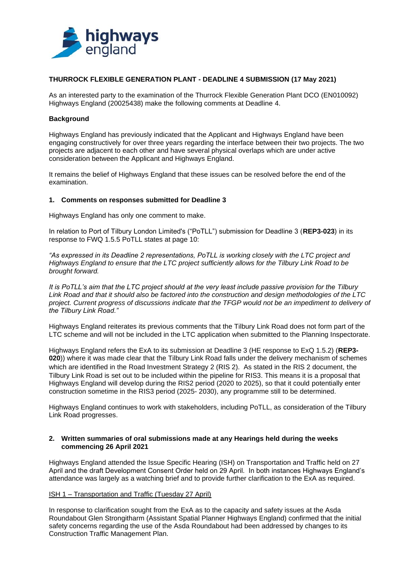

### **THURROCK FLEXIBLE GENERATION PLANT - DEADLINE 4 SUBMISSION (17 May 2021)**

As an interested party to the examination of the Thurrock Flexible Generation Plant DCO (EN010092) Highways England (20025438) make the following comments at Deadline 4.

#### **Background**

Highways England has previously indicated that the Applicant and Highways England have been engaging constructively for over three years regarding the interface between their two projects. The two projects are adjacent to each other and have several physical overlaps which are under active consideration between the Applicant and Highways England.

It remains the belief of Highways England that these issues can be resolved before the end of the examination.

#### **1. Comments on responses submitted for Deadline 3**

Highways England has only one comment to make.

In relation to Port of Tilbury London Limited's ("PoTLL") submission for Deadline 3 (**REP3-023**) in its response to FWQ 1.5.5 PoTLL states at page 10:

*"As expressed in its Deadline 2 representations, PoTLL is working closely with the LTC project and Highways England to ensure that the LTC project sufficiently allows for the Tilbury Link Road to be brought forward.*

*It is PoTLL's aim that the LTC project should at the very least include passive provision for the Tilbury Link Road and that it should also be factored into the construction and design methodologies of the LTC project. Current progress of discussions indicate that the TFGP would not be an impediment to delivery of the Tilbury Link Road."*

Highways England reiterates its previous comments that the Tilbury Link Road does not form part of the LTC scheme and will not be included in the LTC application when submitted to the Planning Inspectorate.

Highways England refers the ExA to its submission at Deadline 3 (HE response to ExQ 1.5.2) (**REP3- 020**)) where it was made clear that the Tilbury Link Road falls under the delivery mechanism of schemes which are identified in the Road Investment Strategy 2 (RIS 2). As stated in the RIS 2 document, the Tilbury Link Road is set out to be included within the pipeline for RIS3. This means it is a proposal that Highways England will develop during the RIS2 period (2020 to 2025), so that it could potentially enter construction sometime in the RIS3 period (2025- 2030), any programme still to be determined.

Highways England continues to work with stakeholders, including PoTLL, as consideration of the Tilbury Link Road progresses.

### **2. Written summaries of oral submissions made at any Hearings held during the weeks commencing 26 April 2021**

Highways England attended the Issue Specific Hearing (ISH) on Transportation and Traffic held on 27 April and the draft Development Consent Order held on 29 April. In both instances Highways England's attendance was largely as a watching brief and to provide further clarification to the ExA as required.

### ISH 1 – Transportation and Traffic (Tuesday 27 April)

In response to clarification sought from the ExA as to the capacity and safety issues at the Asda Roundabout Glen Strongitharm (Assistant Spatial Planner Highways England) confirmed that the initial safety concerns regarding the use of the Asda Roundabout had been addressed by changes to its Construction Traffic Management Plan.